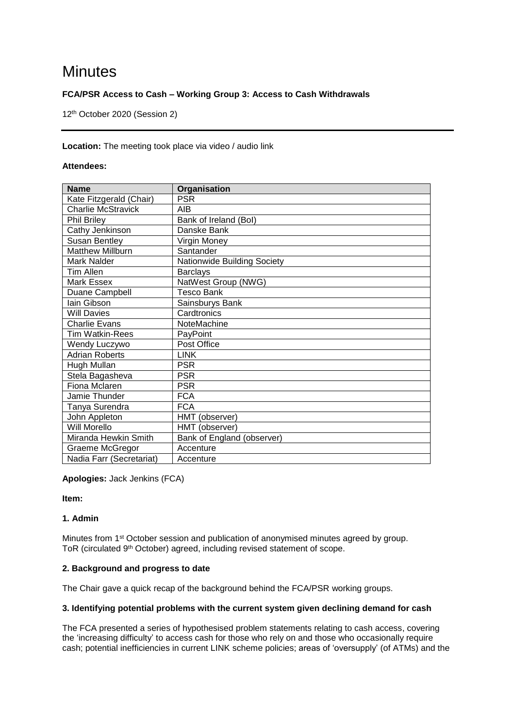# **Minutes**

## **FCA/PSR Access to Cash – Working Group 3: Access to Cash Withdrawals**

12th October 2020 (Session 2)

## **Location:** The meeting took place via video / audio link

#### **Attendees:**

| <b>Name</b>               | Organisation                |
|---------------------------|-----------------------------|
| Kate Fitzgerald (Chair)   | <b>PSR</b>                  |
| <b>Charlie McStravick</b> | AIB                         |
| <b>Phil Briley</b>        | Bank of Ireland (Bol)       |
| Cathy Jenkinson           | Danske Bank                 |
| Susan Bentley             | Virgin Money                |
| <b>Matthew Millburn</b>   | Santander                   |
| Mark Nalder               | Nationwide Building Society |
| Tim Allen                 | <b>Barclays</b>             |
| Mark Essex                | NatWest Group (NWG)         |
| Duane Campbell            | <b>Tesco Bank</b>           |
| lain Gibson               | Sainsburys Bank             |
| <b>Will Davies</b>        | Cardtronics                 |
| <b>Charlie Evans</b>      | NoteMachine                 |
| Tim Watkin-Rees           | PayPoint                    |
| Wendy Luczywo             | Post Office                 |
| <b>Adrian Roberts</b>     | <b>LINK</b>                 |
| Hugh Mullan               | <b>PSR</b>                  |
| Stela Bagasheva           | <b>PSR</b>                  |
| Fiona Mclaren             | <b>PSR</b>                  |
| Jamie Thunder             | <b>FCA</b>                  |
| Tanya Surendra            | <b>FCA</b>                  |
| John Appleton             | HMT (observer)              |
| Will Morello              | HMT (observer)              |
| Miranda Hewkin Smith      | Bank of England (observer)  |
| Graeme McGregor           | Accenture                   |
| Nadia Farr (Secretariat)  | Accenture                   |

## **Apologies:** Jack Jenkins (FCA)

#### **Item:**

## **1. Admin**

Minutes from 1<sup>st</sup> October session and publication of anonymised minutes agreed by group. ToR (circulated 9th October) agreed, including revised statement of scope.

#### **2. Background and progress to date**

The Chair gave a quick recap of the background behind the FCA/PSR working groups.

#### **3. Identifying potential problems with the current system given declining demand for cash**

The FCA presented a series of hypothesised problem statements relating to cash access, covering the 'increasing difficulty' to access cash for those who rely on and those who occasionally require cash; potential inefficiencies in current LINK scheme policies; areas of 'oversupply' (of ATMs) and the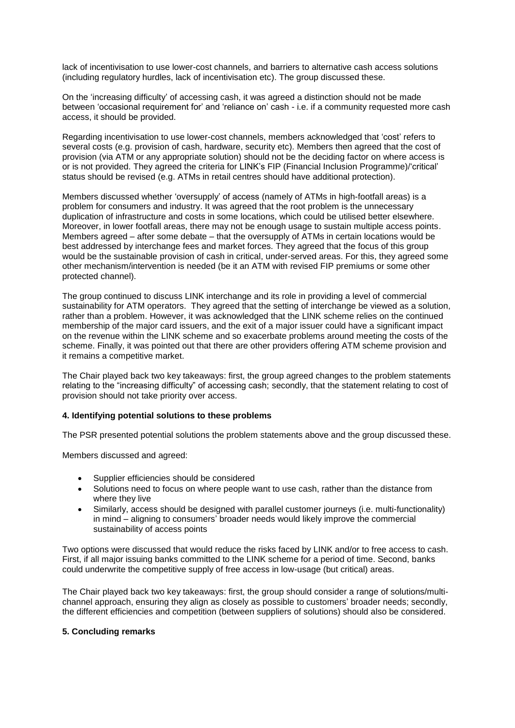lack of incentivisation to use lower-cost channels, and barriers to alternative cash access solutions (including regulatory hurdles, lack of incentivisation etc). The group discussed these.

On the 'increasing difficulty' of accessing cash, it was agreed a distinction should not be made between 'occasional requirement for' and 'reliance on' cash - i.e. if a community requested more cash access, it should be provided.

Regarding incentivisation to use lower-cost channels, members acknowledged that 'cost' refers to several costs (e.g. provision of cash, hardware, security etc). Members then agreed that the cost of provision (via ATM or any appropriate solution) should not be the deciding factor on where access is or is not provided. They agreed the criteria for LINK's FIP (Financial Inclusion Programme)/'critical' status should be revised (e.g. ATMs in retail centres should have additional protection).

Members discussed whether 'oversupply' of access (namely of ATMs in high-footfall areas) is a problem for consumers and industry. It was agreed that the root problem is the unnecessary duplication of infrastructure and costs in some locations, which could be utilised better elsewhere. Moreover, in lower footfall areas, there may not be enough usage to sustain multiple access points. Members agreed – after some debate – that the oversupply of ATMs in certain locations would be best addressed by interchange fees and market forces. They agreed that the focus of this group would be the sustainable provision of cash in critical, under-served areas. For this, they agreed some other mechanism/intervention is needed (be it an ATM with revised FIP premiums or some other protected channel).

The group continued to discuss LINK interchange and its role in providing a level of commercial sustainability for ATM operators. They agreed that the setting of interchange be viewed as a solution, rather than a problem. However, it was acknowledged that the LINK scheme relies on the continued membership of the major card issuers, and the exit of a major issuer could have a significant impact on the revenue within the LINK scheme and so exacerbate problems around meeting the costs of the scheme. Finally, it was pointed out that there are other providers offering ATM scheme provision and it remains a competitive market.

The Chair played back two key takeaways: first, the group agreed changes to the problem statements relating to the "increasing difficulty" of accessing cash; secondly, that the statement relating to cost of provision should not take priority over access.

#### **4. Identifying potential solutions to these problems**

The PSR presented potential solutions the problem statements above and the group discussed these.

Members discussed and agreed:

- Supplier efficiencies should be considered
- Solutions need to focus on where people want to use cash, rather than the distance from where they live
- Similarly, access should be designed with parallel customer journeys (i.e. multi-functionality) in mind – aligning to consumers' broader needs would likely improve the commercial sustainability of access points

Two options were discussed that would reduce the risks faced by LINK and/or to free access to cash. First, if all major issuing banks committed to the LINK scheme for a period of time. Second, banks could underwrite the competitive supply of free access in low-usage (but critical) areas.

The Chair played back two key takeaways: first, the group should consider a range of solutions/multichannel approach, ensuring they align as closely as possible to customers' broader needs; secondly, the different efficiencies and competition (between suppliers of solutions) should also be considered.

## **5. Concluding remarks**